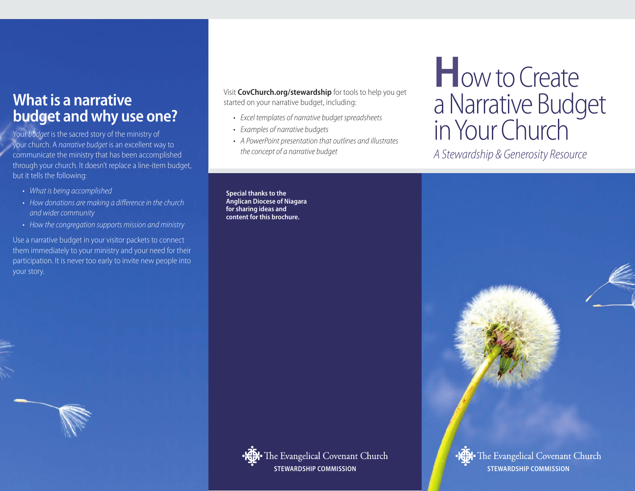## **What is a narrative budget and why use one?**

Your *budget* is the sacred story of the ministry of your church. A *narrative budget* is an excellent way to communicate the ministry that has been accomplished through your church. It doesn't replace a line-item budget, but it tells the following:

- • *What is being accomplished*
- • *How donations are making a difference in the church and wider community*
- • *How the congregation supports mission and ministry*

Use a narrative budget in your visitor packets to connect them immediately to your ministry and your need for their participation. It is never too early to invite new people into your story.

Visit **CovChurch.org/stewardship** for tools to help you get started on your narrative budget, including:

- • *Excel templates of narrative budget spreadsheets*
- • *Examples of narrative budgets*
- • *A PowerPoint presentation that outlines and illustrates the concept of a narrative budget*

**Special thanks to the Anglican Diocese of Niagara for sharing ideas and content for this brochure.**



*A Stewardship & Generosity Resource*



The Evangelical Covenant Church

The Evangelical Covenant Church **STEWARDSHIP COMMISSION STEWARDSHIP COMMISSION**